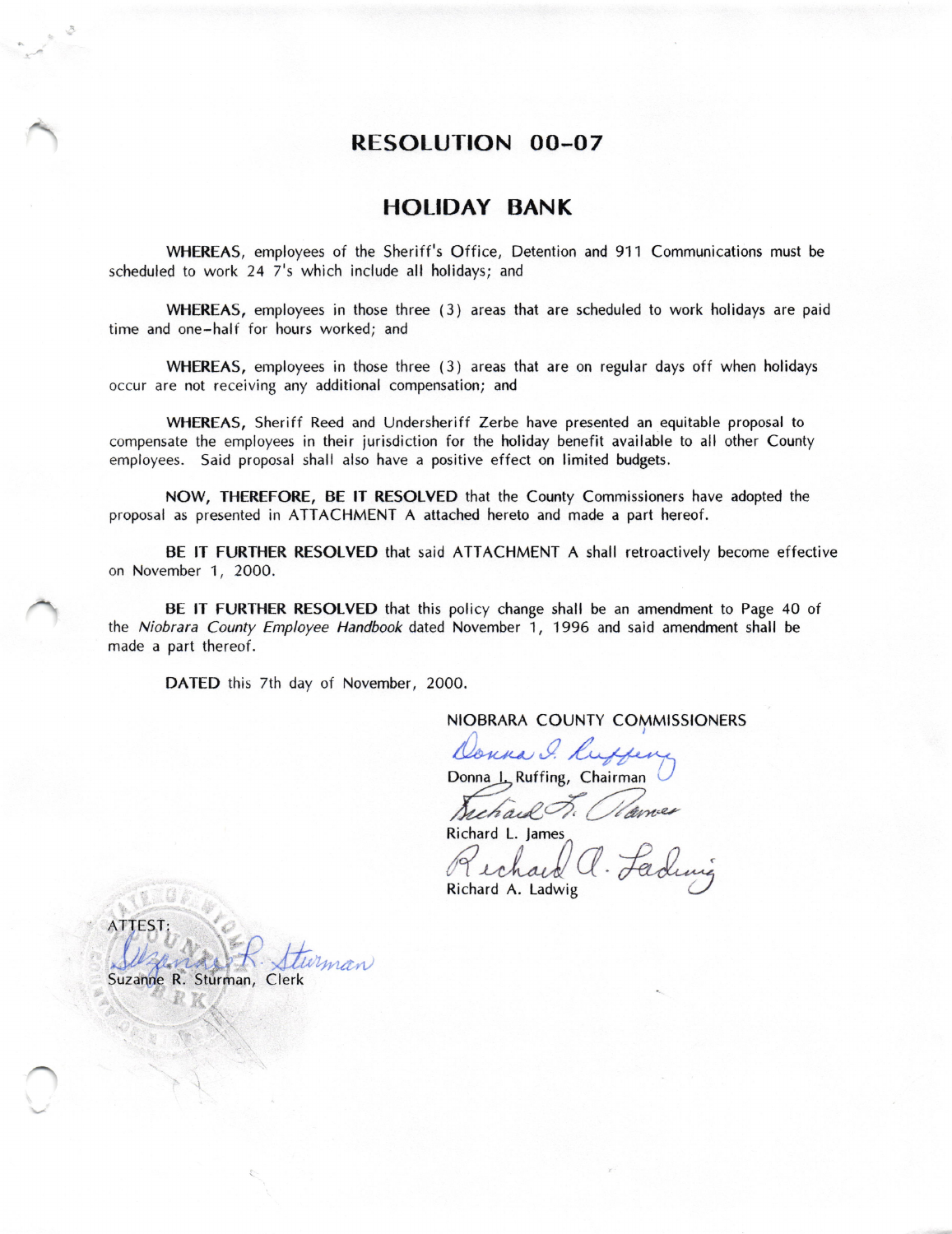## RESOLUTION 00-07

### HOLIDAY BANK

WHEREAS, employees of the Sheriff 's Office, Detention and 911 Communications must be scheduled to work 24 7's which include all holidays; and

WHEREAS, employees in those three (3) areas that are scheduled to work holidays are paid time and one-half for hours worked; and

WHEREAS, employees in those three (3) areas that are on regular days off when holidays occur are not receiving any additional compensation; and

WHEREAS, Sheriff Reed and Undersherift Zerbe have presented an equitable proposal to compensate the employees in their jurisdiction for the holiday benefit available to all other County employees. Said proposal shall also have a positive effect on limited budgets.

NOW, THEREFORE, BE lT RESOLVED that the County Commissioners have adopted the proposal as presented in ATTACHMENT A attached hereto and made a part hereof.

BE lT FURTHER RESOLVED that said ATTACHMENT A shall retroactively become effective on November 1, 2OOO.

BE lT FURTHER RESOLVED that this policy change shall be an amendment to Page 40 of the Niobrara County Employee Handbook dated November 1, 1996 and said amendment shall be made a part thereof.

DATED this 7th day of November, 2000.

NIOBRARA COUNTY COMMISSIONERS

Donna I. Ruffeng Donna L., Ruffing, Chairman  $\bigcup$ 

Suchaul F. Warnes

Richard L. lames

Richard L. James<br>Richard L. James<br>Richard A. Ladwig

ATTEST: winan ! Suzanne R. Sturman, Clerk